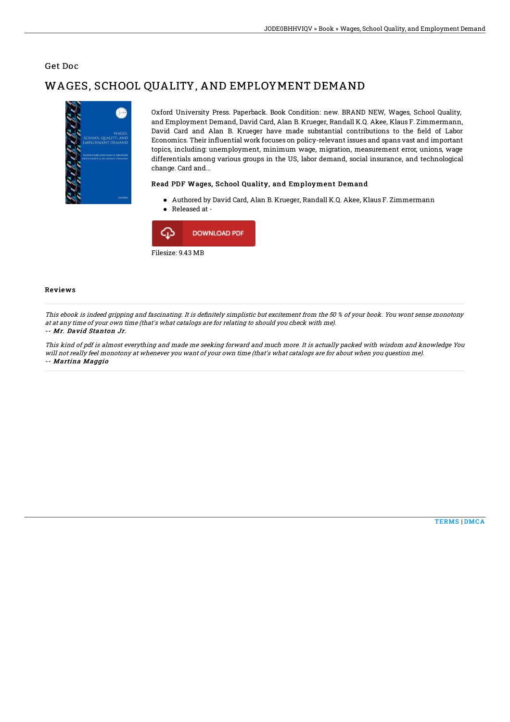## Get Doc

# WAGES, SCHOOL QUALITY, AND EMPLOYMENT DEMAND



Oxford University Press. Paperback. Book Condition: new. BRAND NEW, Wages, School Quality, and Employment Demand, David Card, Alan B. Krueger, Randall K.Q. Akee, Klaus F. Zimmermann, David Card and Alan B. Krueger have made substantial contributions to the field of Labor Economics. Their influential work focuses on policy-relevant issues and spans vast and important topics, including: unemployment, minimum wage, migration, measurement error, unions, wage differentials among various groups in the US, labor demand, social insurance, and technological change. Card and...

### Read PDF Wages, School Quality, and Employment Demand

Authored by David Card, Alan B. Krueger, Randall K.Q. Akee, Klaus F. Zimmermann Released at -



#### Reviews

This ebook is indeed gripping and fascinating. It is definitely simplistic but excitement from the 50 % of your book. You wont sense monotony at at any time of your own time (that's what catalogs are for relating to should you check with me).

#### -- Mr. David Stanton Jr.

This kind of pdf is almost everything and made me seeking forward and much more. It is actually packed with wisdom and knowledge You will not really feel monotony at whenever you want of your own time (that's what catalogs are for about when you question me). -- Martina Maggio